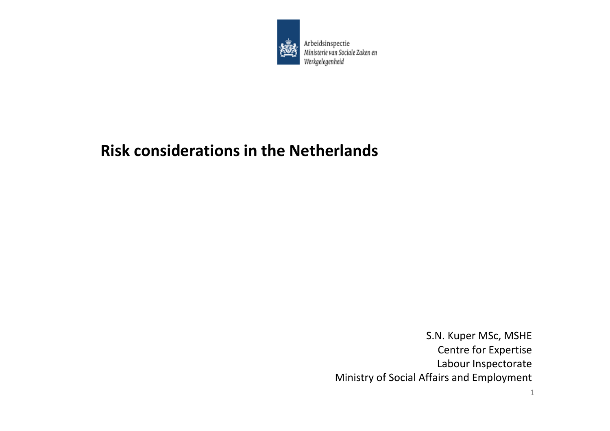

Arbeidsinspectie Ministerie van Sociale Zaken en Werkgelegenheid

# **Risk considerations in the Netherlands**

S.N. Kuper MSc, MSHE Centre for Expertise Labour Inspectorate Ministry of Social Affairs and Employment

1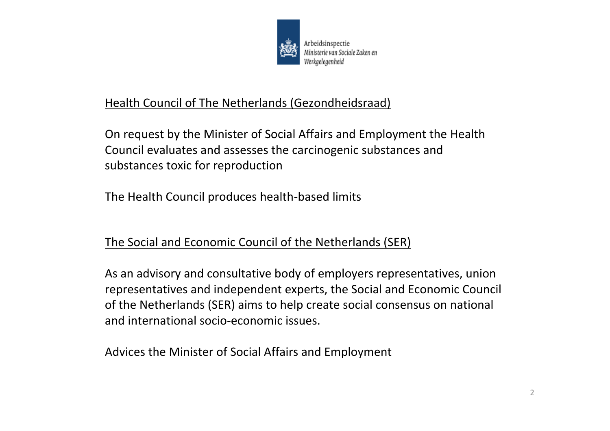

## Health Council of The Netherlands (Gezondheidsraad)

On request by the Minister of Social Affairs and Employment the Health Council evaluates and assesses the carcinogenic substances and substances toxic for reproduction

The Health Council produces health‐based limits

## The Social and Economic Council of the Netherlands (SER)

As an advisory and consultative body of employers representatives, union representatives and independent experts, the Social and Economic Council of the Netherlands (SER) aims to help create social consensus on national and international socio‐economic issues.

Advices the Minister of Social Affairs and Employment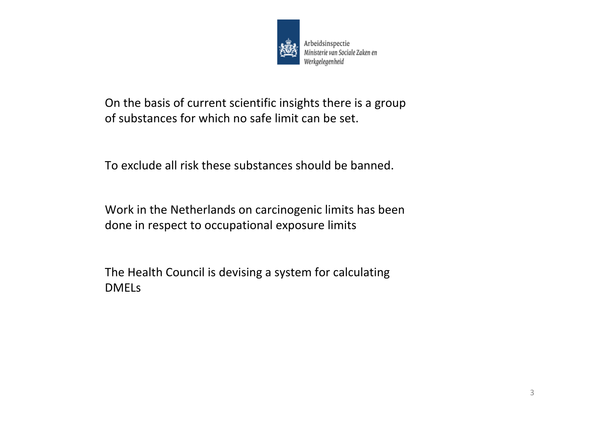

On the basis of current scientific insights there is <sup>a</sup> group of substances for which no safe limit can be set.

To exclude all risk these substances should be banned.

Work in the Netherlands on carcinogenic limits has been done in respect to occupational exposure limits

The Health Council is devising <sup>a</sup> system for calculating DMELs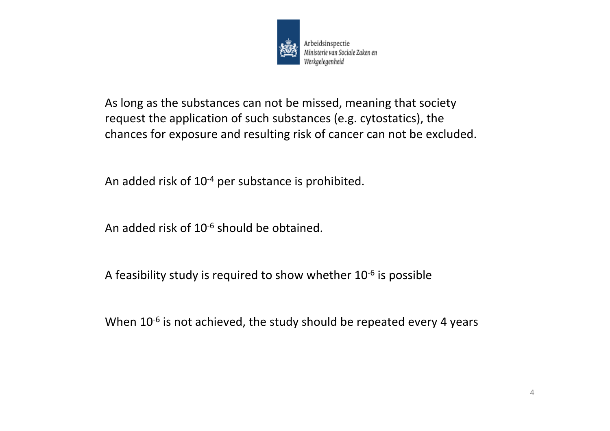

As long as the substances can not be missed, meaning that society request the application of such substances (e.g. cytostatics), the chances for exposure and resulting risk of cancer can not be excluded.

An added risk of  $10^{-4}$  per substance is prohibited.

An added risk of 10<sup>-6</sup> should be obtained.

A feasibility study is required to show whether  $10^{-6}$  is possible

When 10<sup>-6</sup> is not achieved, the study should be repeated every 4 years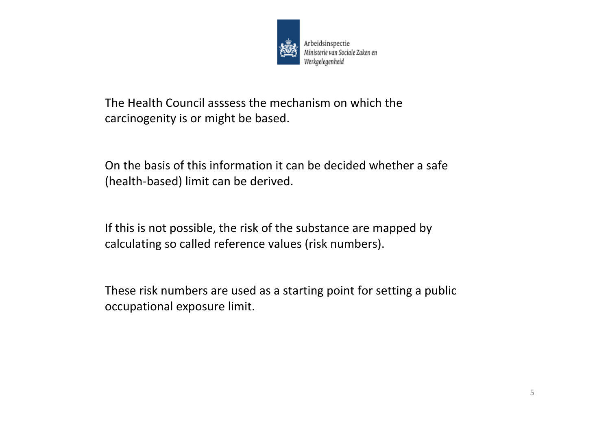

The Health Council asssess the mechanism on which the carcinogenity is or might be based.

On the basis of this information it can be decided whether <sup>a</sup> safe (health‐based) limit can be derived.

If this is not possible, the risk of the substance are mapped by calculating so called reference values (risk numbers).

These risk numbers are used as <sup>a</sup> starting point for setting <sup>a</sup> public occupational exposure limit.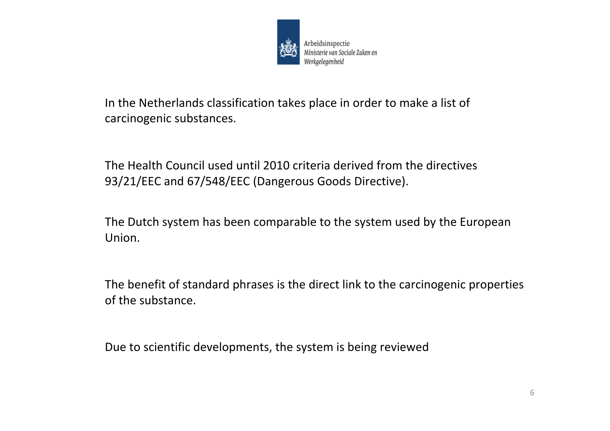

In the Netherlands classification takes place in order to make <sup>a</sup> list of carcinogenic substances.

The Health Council used until 2010 criteria derived from the directives 93/21/EEC and 67/548/EEC (Dangerous Goods Directive).

The Dutch system has been comparable to the system used by the European Union.

The benefit of standard phrases is the direct link to the carcinogenic properties of the substance.

Due to scientific developments, the system is being reviewed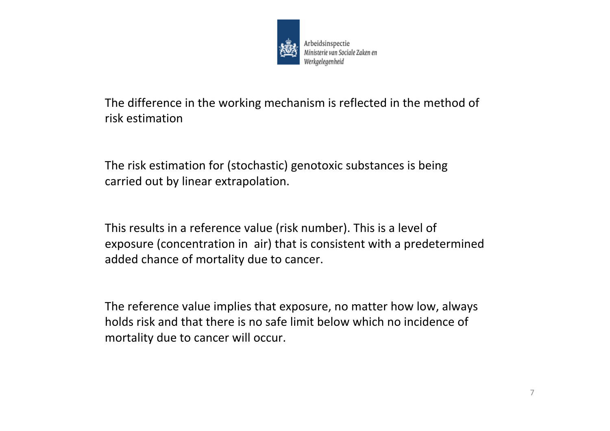

The difference in the working mechanism is reflected in the method of risk estimation

The risk estimation for (stochastic) genotoxic substances is being carried out by linear extrapolation.

This results in <sup>a</sup> reference value (risk number). This is <sup>a</sup> level of exposure (concentration in air) that is consistent with <sup>a</sup> predetermined added chance of mortality due to cancer.

The reference value implies that exposure, no matter how low, always holds risk and that there is no safe limit below which no incidence of mortality due to cancer will occur.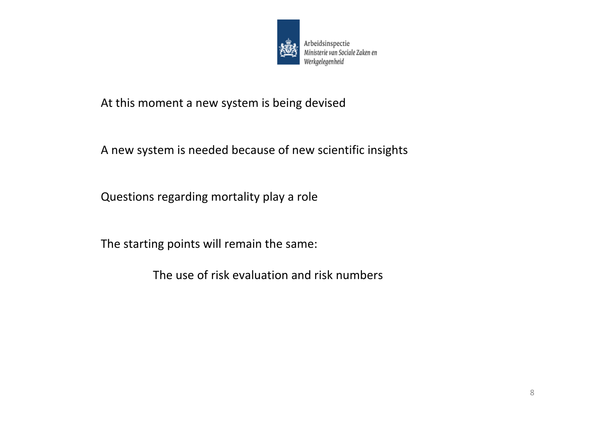

#### At this moment <sup>a</sup> new system is being devised

### A new system is needed because of new scientific insights

Questions regarding mortality play <sup>a</sup> role

The starting points will remain the same:

The use of risk evaluation and risk numbers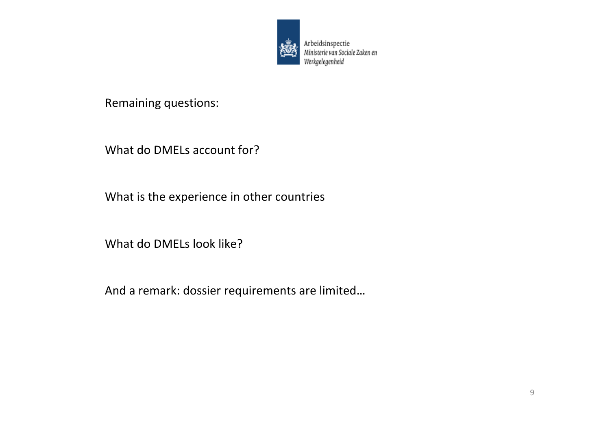

Arbeidsinspectie van Sociale Zaken en Werkgelegenheid

Remaining questions:

What do DMELs account for?

What is the experience in other countries

What do DMELs look like?

And a remark: dossier requirements are limited…